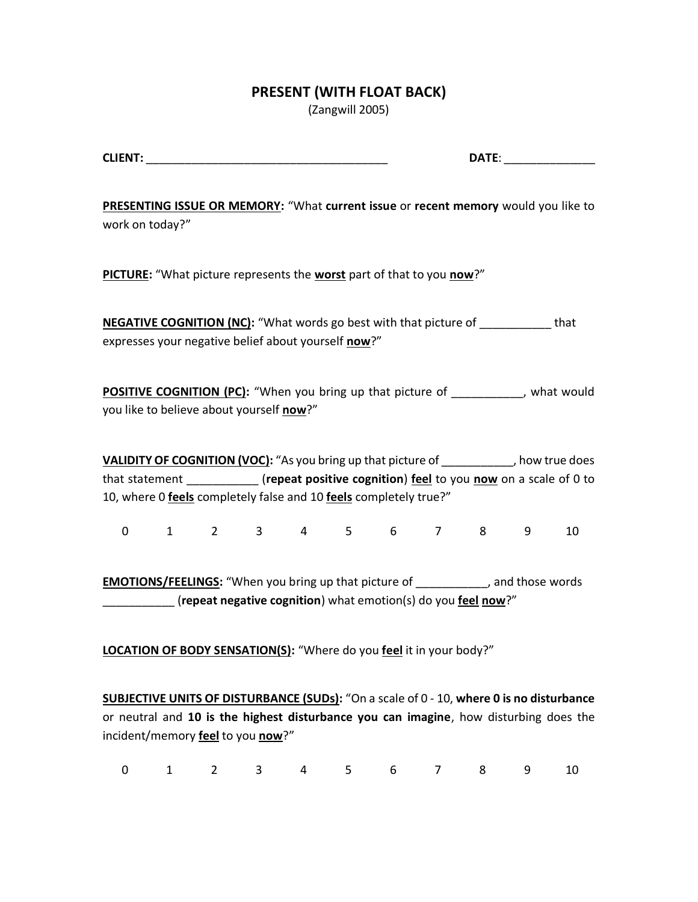## **PRESENT (WITH FLOAT BACK)**

(Zangwill 2005)

| $C1$ in $C2$ in $C3$<br>______ | -- |
|--------------------------------|----|
|--------------------------------|----|

**PRESENTING ISSUE OR MEMORY:** "What **current issue** or **recent memory** would you like to work on today?"

**PICTURE:** "What picture represents the **worst** part of that to you **now**?"

**NEGATIVE COGNITION (NC):** "What words go best with that picture of \_\_\_\_\_\_\_\_\_\_\_ that expresses your negative belief about yourself **now**?"

**POSITIVE COGNITION (PC):** "When you bring up that picture of \_\_\_\_\_\_\_\_\_, what would you like to believe about yourself **now**?"

**VALIDITY OF COGNITION (VOC):** "As you bring up that picture of \_\_\_\_\_\_\_\_\_\_\_, how true does that statement \_\_\_\_\_\_\_\_\_\_\_ (**repeat positive cognition**) **feel** to you **now** on a scale of 0 to 10, where 0 **feels** completely false and 10 **feels** completely true?"

0 1 2 3 4 5 6 7 8 9 10

**EMOTIONS/FEELINGS:** "When you bring up that picture of \_\_\_\_\_\_\_\_\_\_\_, and those words \_\_\_\_\_\_\_\_\_\_\_ (**repeat negative cognition**) what emotion(s) do you **feel now**?"

**LOCATION OF BODY SENSATION(S):** "Where do you **feel** it in your body?"

**SUBJECTIVE UNITS OF DISTURBANCE (SUDs):** "On a scale of 0 - 10, **where 0 is no disturbance** or neutral and **10 is the highest disturbance you can imagine**, how disturbing does the incident/memory **feel** to you **now**?"

| 0 1 2 3 4 5 6 7 8 9 10 |  |  |  |  |  |  |  |  |  |  |  |
|------------------------|--|--|--|--|--|--|--|--|--|--|--|
|------------------------|--|--|--|--|--|--|--|--|--|--|--|